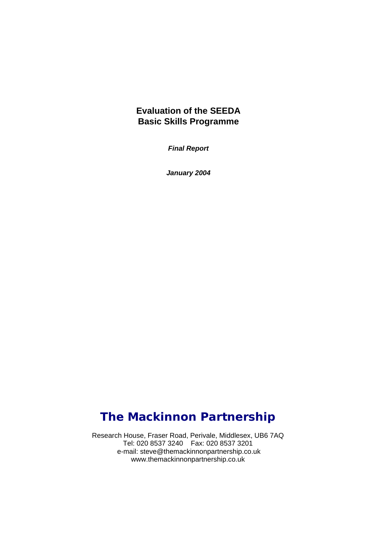## **Evaluation of the SEEDA Basic Skills Programme**

*Final Report* 

*January 2004* 

## *The Mackinnon Partnership*

Research House, Fraser Road, Perivale, Middlesex, UB6 7AQ Tel: 020 8537 3240 Fax: 020 8537 3201 e-mail: steve@themackinnonpartnership.co.uk www.themackinnonpartnership.co.uk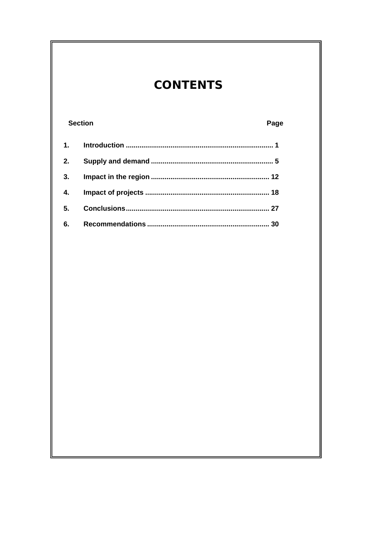# **CONTENTS**

| <b>Section</b> |  | Page |
|----------------|--|------|
| 1.             |  |      |
| 2.             |  |      |
| 3.             |  |      |
| 4.             |  |      |
| 5.             |  |      |
| 6.             |  |      |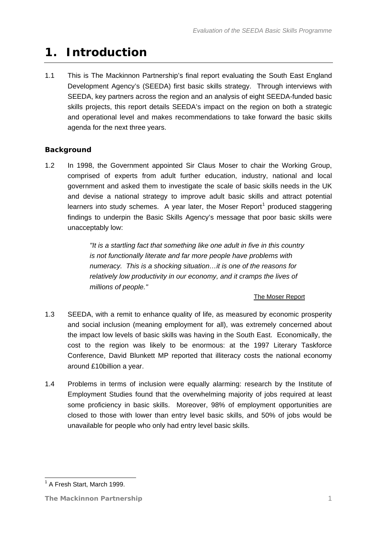## <span id="page-2-1"></span><span id="page-2-0"></span>**1. Introduction**

1.1 This is The Mackinnon Partnership's final report evaluating the South East England Development Agency's (SEEDA) first basic skills strategy. Through interviews with SEEDA, key partners across the region and an analysis of eight SEEDA-funded basic skills projects, this report details SEEDA's impact on the region on both a strategic and operational level and makes recommendations to take forward the basic skills agenda for the next three years.

## **Background**

1.2 In 1998, the Government appointed Sir Claus Moser to chair the Working Group, comprised of experts from adult further education, industry, national and local government and asked them to investigate the scale of basic skills needs in the UK and devise a national strategy to improve adult basic skills and attract potential learners into study schemes. A year later, the Moser Report<sup>[1](#page-2-2)</sup> produced staggering findings to underpin the Basic Skills Agency's message that poor basic skills were unacceptably low:

> *"It is a startling fact that something like one adult in five in this country is not functionally literate and far more people have problems with numeracy. This is a shocking situation…it is one of the reasons for relatively low productivity in our economy, and it cramps the lives of millions of people."*

### The Moser Report

- 1.3 SEEDA, with a remit to enhance quality of life, as measured by economic prosperity and social inclusion (meaning employment for all), was extremely concerned about the impact low levels of basic skills was having in the South East. Economically, the cost to the region was likely to be enormous: at the 1997 Literary Taskforce Conference, David Blunkett MP reported that illiteracy costs the national economy around £10billion a year.
- 1.4 Problems in terms of inclusion were equally alarming: research by the Institute of Employment Studies found that the overwhelming majority of jobs required at least some proficiency in basic skills. Moreover, 98% of employment opportunities are closed to those with lower than entry level basic skills, and 50% of jobs would be unavailable for people who only had entry level basic skills.

<span id="page-2-2"></span><sup>&</sup>lt;u>- Luis Commundon</u><br><sup>1</sup> A Fresh Start, March 1999.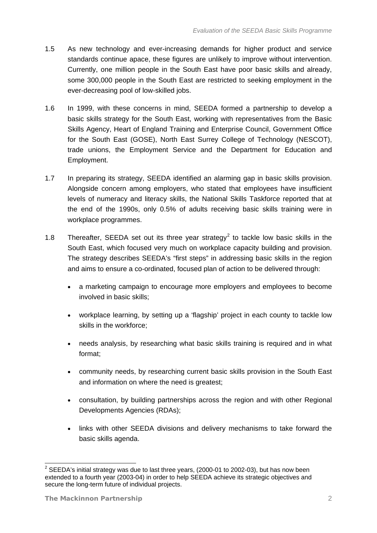- 1.5 As new technology and ever-increasing demands for higher product and service standards continue apace, these figures are unlikely to improve without intervention. Currently, one million people in the South East have poor basic skills and already, some 300,000 people in the South East are restricted to seeking employment in the ever-decreasing pool of low-skilled jobs.
- 1.6 In 1999, with these concerns in mind, SEEDA formed a partnership to develop a basic skills strategy for the South East, working with representatives from the Basic Skills Agency, Heart of England Training and Enterprise Council, Government Office for the South East (GOSE), North East Surrey College of Technology (NESCOT), trade unions, the Employment Service and the Department for Education and Employment.
- 1.7 In preparing its strategy, SEEDA identified an alarming gap in basic skills provision. Alongside concern among employers, who stated that employees have insufficient levels of numeracy and literacy skills, the National Skills Taskforce reported that at the end of the 1990s, only 0.5% of adults receiving basic skills training were in workplace programmes.
- 1.8 Thereafter, SEEDA set out its three year strategy<sup>[2](#page-3-0)</sup> to tackle low basic skills in the South East, which focused very much on workplace capacity building and provision. The strategy describes SEEDA's "first steps" in addressing basic skills in the region and aims to ensure a co-ordinated, focused plan of action to be delivered through:
	- a marketing campaign to encourage more employers and employees to become involved in basic skills;
	- workplace learning, by setting up a 'flagship' project in each county to tackle low skills in the workforce;
	- needs analysis, by researching what basic skills training is required and in what format;
	- community needs, by researching current basic skills provision in the South East and information on where the need is greatest;
	- consultation, by building partnerships across the region and with other Regional Developments Agencies (RDAs);
	- links with other SEEDA divisions and delivery mechanisms to take forward the basic skills agenda.

-

<span id="page-3-0"></span> $2$  SEEDA's initial strategy was due to last three years, (2000-01 to 2002-03), but has now been extended to a fourth year (2003-04) in order to help SEEDA achieve its strategic objectives and secure the long-term future of individual projects.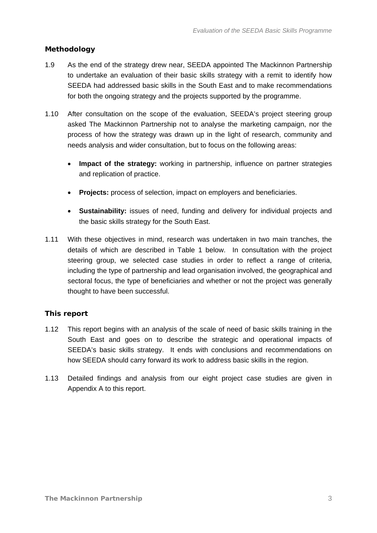### **Methodology**

- 1.9 As the end of the strategy drew near, SEEDA appointed The Mackinnon Partnership to undertake an evaluation of their basic skills strategy with a remit to identify how SEEDA had addressed basic skills in the South East and to make recommendations for both the ongoing strategy and the projects supported by the programme.
- 1.10 After consultation on the scope of the evaluation, SEEDA's project steering group asked The Mackinnon Partnership not to analyse the marketing campaign, nor the process of how the strategy was drawn up in the light of research, community and needs analysis and wider consultation, but to focus on the following areas:
	- **Impact of the strategy:** working in partnership, influence on partner strategies and replication of practice.
	- **Projects:** process of selection, impact on employers and beneficiaries.
	- **Sustainability:** issues of need, funding and delivery for individual projects and the basic skills strategy for the South East.
- 1.11 With these objectives in mind, research was undertaken in two main tranches, the details of which are described in [Table 1](#page-5-0) below. In consultation with the project steering group, we selected case studies in order to reflect a range of criteria, including the type of partnership and lead organisation involved, the geographical and sectoral focus, the type of beneficiaries and whether or not the project was generally thought to have been successful.

### **This report**

- 1.12 This report begins with an analysis of the scale of need of basic skills training in the South East and goes on to describe the strategic and operational impacts of SEEDA's basic skills strategy. It ends with conclusions and recommendations on how SEEDA should carry forward its work to address basic skills in the region.
- 1.13 Detailed findings and analysis from our eight project case studies are given in Appendix A to this report.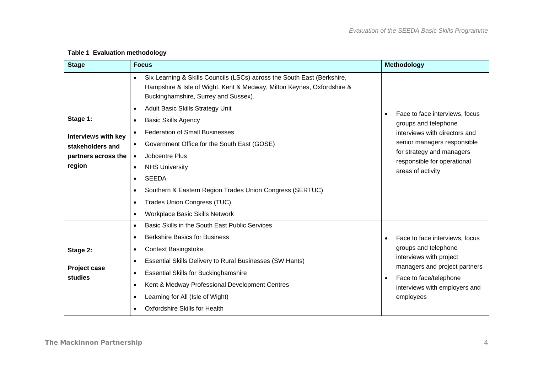<span id="page-5-0"></span>

| <b>Stage</b>                                                                                | <b>Focus</b>                                                                                                                                                                                                                                                                                                                                                                                                                                                                                                                                                                                                                                                                                             | <b>Methodology</b>                                                                                                                                                                                                   |
|---------------------------------------------------------------------------------------------|----------------------------------------------------------------------------------------------------------------------------------------------------------------------------------------------------------------------------------------------------------------------------------------------------------------------------------------------------------------------------------------------------------------------------------------------------------------------------------------------------------------------------------------------------------------------------------------------------------------------------------------------------------------------------------------------------------|----------------------------------------------------------------------------------------------------------------------------------------------------------------------------------------------------------------------|
| Stage 1:<br><b>Interviews with key</b><br>stakeholders and<br>partners across the<br>region | Six Learning & Skills Councils (LSCs) across the South East (Berkshire,<br>$\bullet$<br>Hampshire & Isle of Wight, Kent & Medway, Milton Keynes, Oxfordshire &<br>Buckinghamshire, Surrey and Sussex).<br>Adult Basic Skills Strategy Unit<br>$\bullet$<br><b>Basic Skills Agency</b><br>$\bullet$<br><b>Federation of Small Businesses</b><br>$\bullet$<br>Government Office for the South East (GOSE)<br>$\bullet$<br>Jobcentre Plus<br>$\bullet$<br><b>NHS University</b><br>$\bullet$<br><b>SEEDA</b><br>$\bullet$<br>Southern & Eastern Region Trades Union Congress (SERTUC)<br>$\bullet$<br><b>Trades Union Congress (TUC)</b><br>$\bullet$<br><b>Workplace Basic Skills Network</b><br>$\bullet$ | Face to face interviews, focus<br>$\bullet$<br>groups and telephone<br>interviews with directors and<br>senior managers responsible<br>for strategy and managers<br>responsible for operational<br>areas of activity |
| Stage 2:<br>Project case<br>studies                                                         | Basic Skills in the South East Public Services<br>$\bullet$<br><b>Berkshire Basics for Business</b><br>$\bullet$<br><b>Context Basingstoke</b><br>$\bullet$<br><b>Essential Skills Delivery to Rural Businesses (SW Hants)</b><br>$\bullet$<br><b>Essential Skills for Buckinghamshire</b><br>$\bullet$<br>Kent & Medway Professional Development Centres<br>$\bullet$<br>Learning for All (Isle of Wight)<br>$\bullet$<br><b>Oxfordshire Skills for Health</b><br>$\bullet$                                                                                                                                                                                                                             | Face to face interviews, focus<br>$\bullet$<br>groups and telephone<br>interviews with project<br>managers and project partners<br>Face to face/telephone<br>$\bullet$<br>interviews with employers and<br>employees |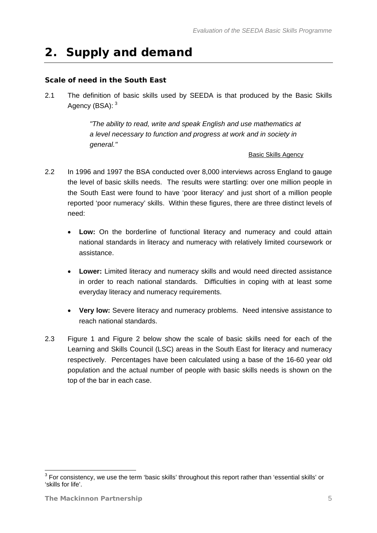## <span id="page-6-1"></span><span id="page-6-0"></span>**2. Supply and demand**

### **Scale of need in the South East**

2.1 The definition of basic skills used by SEEDA is that produced by the Basic Skills Agency (BSA): <sup>[3](#page-6-0)</sup>

> *"The ability to read, write and speak English and use mathematics at a level necessary to function and progress at work and in society in general."*

#### **Basic Skills Agency**

- 2.2 In 1996 and 1997 the BSA conducted over 8,000 interviews across England to gauge the level of basic skills needs. The results were startling: over one million people in the South East were found to have 'poor literacy' and just short of a million people reported 'poor numeracy' skills. Within these figures, there are three distinct levels of need:
	- **Low:** On the borderline of functional literacy and numeracy and could attain national standards in literacy and numeracy with relatively limited coursework or assistance.
	- **Lower:** Limited literacy and numeracy skills and would need directed assistance in order to reach national standards. Difficulties in coping with at least some everyday literacy and numeracy requirements.
	- **Very low:** Severe literacy and numeracy problems. Need intensive assistance to reach national standards.
- 2.3 [Figure 1](#page-7-0) and [Figure 2](#page-8-0) below show the scale of basic skills need for each of the Learning and Skills Council (LSC) areas in the South East for literacy and numeracy respectively. Percentages have been calculated using a base of the 16-60 year old population and the actual number of people with basic skills needs is shown on the top of the bar in each case.

 3 For consistency, we use the term 'basic skills' throughout this report rather than 'essential skills' or 'skills for life'.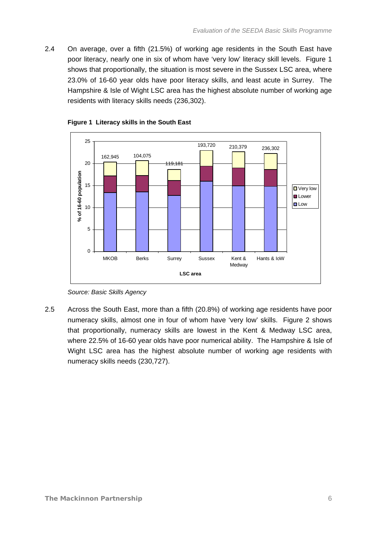2.4 On average, over a fifth (21.5%) of working age residents in the South East have poor literacy, nearly one in six of whom have 'very low' literacy skill levels. [Figure 1](#page-7-0) shows that proportionally, the situation is most severe in the Sussex LSC area, where 23.0% of 16-60 year olds have poor literacy skills, and least acute in Surrey. The Hampshire & Isle of Wight LSC area has the highest absolute number of working age residents with literacy skills needs (236,302).



<span id="page-7-0"></span>

2.5 Across the South East, more than a fifth (20.8%) of working age residents have poor numeracy skills, almost one in four of whom have 'very low' skills. [Figure 2](#page-8-0) shows that proportionally, numeracy skills are lowest in the Kent & Medway LSC area, where 22.5% of 16-60 year olds have poor numerical ability. The Hampshire & Isle of Wight LSC area has the highest absolute number of working age residents with numeracy skills needs (230,727).

*Source: Basic Skills Agency*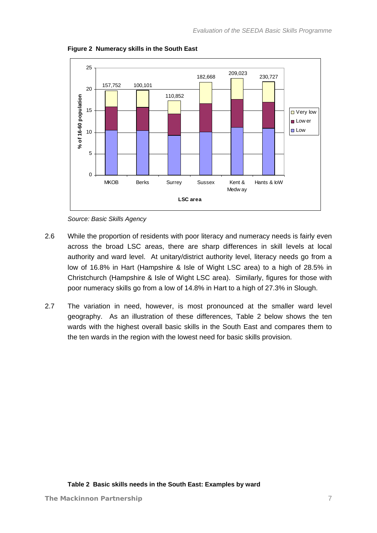<span id="page-8-0"></span>

**Figure 2 Numeracy skills in the South East** 



- 2.6 While the proportion of residents with poor literacy and numeracy needs is fairly even across the broad LSC areas, there are sharp differences in skill levels at local authority and ward level. At unitary/district authority level, literacy needs go from a low of 16.8% in Hart (Hampshire & Isle of Wight LSC area) to a high of 28.5% in Christchurch (Hampshire & Isle of Wight LSC area). Similarly, figures for those with poor numeracy skills go from a low of 14.8% in Hart to a high of 27.3% in Slough.
- <span id="page-8-1"></span>2.7 The variation in need, however, is most pronounced at the smaller ward level geography. As an illustration of these differences, [Table 2](#page-8-1) below shows the ten wards with the highest overall basic skills in the South East and compares them to the ten wards in the region with the lowest need for basic skills provision.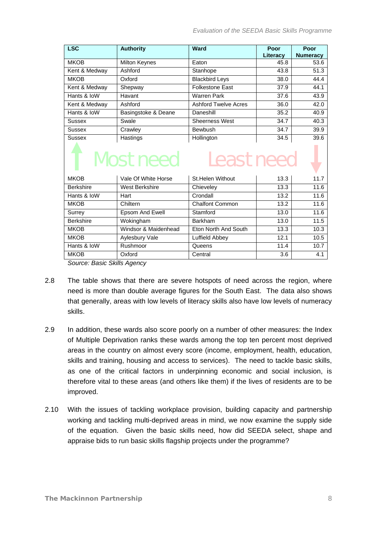| <b>LSC</b>       | <b>Authority</b>      | Ward                         | Poor     | Poor            |
|------------------|-----------------------|------------------------------|----------|-----------------|
|                  |                       |                              | Literacy | <b>Numeracy</b> |
| <b>MKOB</b>      | Milton Keynes         | Eaton                        | 45.8     | 53.6            |
| Kent & Medway    | Ashford               | Stanhope                     | 43.8     | 51.3            |
| <b>MKOB</b>      | Oxford                | <b>Blackbird Leys</b>        | 38.0     | 44.4            |
| Kent & Medway    | Shepway               | <b>Folkestone East</b>       | 37.9     | 44.1            |
| Hants & IoW      | Havant                | <b>Warren Park</b>           | 37.6     | 43.9            |
| Kent & Medway    | Ashford               | <b>Ashford Twelve Acres</b>  | 36.0     | 42.0            |
| Hants & IoW      | Basingstoke & Deane   | Daneshill                    | 35.2     | 40.9            |
| Sussex           | Swale                 | <b>Sheerness West</b>        | 34.7     | 40.3            |
| <b>Sussex</b>    | Crawley               | Bewbush                      | 34.7     | 39.9            |
| Sussex           | Hastings              | Hollington                   | 34.5     | 39.6            |
|                  | <b>Most need</b>      | <b>Least need</b>            |          |                 |
| <b>MKOB</b>      | Vale Of White Horse   | St.Helen Without             | 13.3     | 11.7            |
| <b>Berkshire</b> | <b>West Berkshire</b> | Chieveley                    | 13.3     | 11.6            |
| Hants & IoW      | Hart                  | Crondall                     | 13.2     | 11.6            |
| <b>MKOB</b>      | Chiltern              | <b>Chalfont Common</b>       | 13.2     | 11.6            |
| Surrey           | Epsom And Ewell       | Stamford                     | 13.0     | 11.6            |
| <b>Berkshire</b> | Wokingham             | <b>Barkham</b>               | 13.0     | 11.5            |
| <b>MKOB</b>      | Windsor & Maidenhead  | Eton North And South<br>13.3 |          | 10.3            |
| <b>MKOB</b>      | Aylesbury Vale        | Luffield Abbey               | 12.1     | 10.5            |
| Hants & IoW      | Rushmoor              | 11.4<br>Queens               |          | 10.7            |
| <b>MKOB</b>      | Oxford                | Central                      | 3.6      | 4.1             |

*Source: Basic Skills Agency* 

- 2.8 The table shows that there are severe hotspots of need across the region, where need is more than double average figures for the South East. The data also shows that generally, areas with low levels of literacy skills also have low levels of numeracy skills.
- 2.9 In addition, these wards also score poorly on a number of other measures: the Index of Multiple Deprivation ranks these wards among the top ten percent most deprived areas in the country on almost every score (income, employment, health, education, skills and training, housing and access to services). The need to tackle basic skills, as one of the critical factors in underpinning economic and social inclusion, is therefore vital to these areas (and others like them) if the lives of residents are to be improved.
- 2.10 With the issues of tackling workplace provision, building capacity and partnership working and tackling multi-deprived areas in mind, we now examine the supply side of the equation. Given the basic skills need, how did SEEDA select, shape and appraise bids to run basic skills flagship projects under the programme?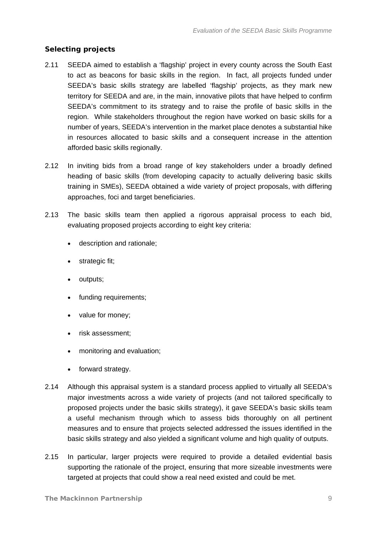### **Selecting projects**

- 2.11 SEEDA aimed to establish a 'flagship' project in every county across the South East to act as beacons for basic skills in the region. In fact, all projects funded under SEEDA's basic skills strategy are labelled 'flagship' projects, as they mark new territory for SEEDA and are, in the main, innovative pilots that have helped to confirm SEEDA's commitment to its strategy and to raise the profile of basic skills in the region. While stakeholders throughout the region have worked on basic skills for a number of years, SEEDA's intervention in the market place denotes a substantial hike in resources allocated to basic skills and a consequent increase in the attention afforded basic skills regionally.
- 2.12 In inviting bids from a broad range of key stakeholders under a broadly defined heading of basic skills (from developing capacity to actually delivering basic skills training in SMEs), SEEDA obtained a wide variety of project proposals, with differing approaches, foci and target beneficiaries.
- 2.13 The basic skills team then applied a rigorous appraisal process to each bid, evaluating proposed projects according to eight key criteria:
	- description and rationale;
	- strategic fit:
	- outputs;
	- funding requirements;
	- value for money;
	- risk assessment;
	- monitoring and evaluation;
	- forward strategy.
- 2.14 Although this appraisal system is a standard process applied to virtually all SEEDA's major investments across a wide variety of projects (and not tailored specifically to proposed projects under the basic skills strategy), it gave SEEDA's basic skills team a useful mechanism through which to assess bids thoroughly on all pertinent measures and to ensure that projects selected addressed the issues identified in the basic skills strategy and also yielded a significant volume and high quality of outputs.
- 2.15 In particular, larger projects were required to provide a detailed evidential basis supporting the rationale of the project, ensuring that more sizeable investments were targeted at projects that could show a real need existed and could be met.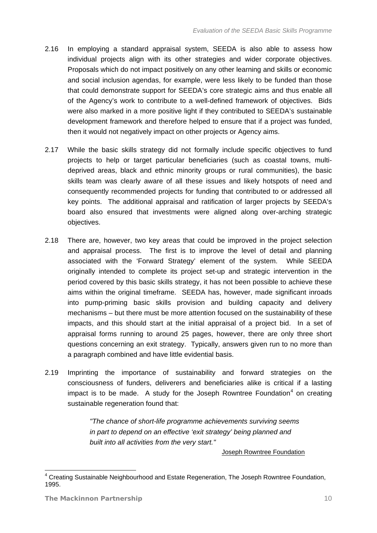- <span id="page-11-0"></span>2.16 In employing a standard appraisal system, SEEDA is also able to assess how individual projects align with its other strategies and wider corporate objectives. Proposals which do not impact positively on any other learning and skills or economic and social inclusion agendas, for example, were less likely to be funded than those that could demonstrate support for SEEDA's core strategic aims and thus enable all of the Agency's work to contribute to a well-defined framework of objectives. Bids were also marked in a more positive light if they contributed to SEEDA's sustainable development framework and therefore helped to ensure that if a project was funded, then it would not negatively impact on other projects or Agency aims.
- 2.17 While the basic skills strategy did not formally include specific objectives to fund projects to help or target particular beneficiaries (such as coastal towns, multideprived areas, black and ethnic minority groups or rural communities), the basic skills team was clearly aware of all these issues and likely hotspots of need and consequently recommended projects for funding that contributed to or addressed all key points. The additional appraisal and ratification of larger projects by SEEDA's board also ensured that investments were aligned along over-arching strategic objectives.
- 2.18 There are, however, two key areas that could be improved in the project selection and appraisal process. The first is to improve the level of detail and planning associated with the 'Forward Strategy' element of the system. While SEEDA originally intended to complete its project set-up and strategic intervention in the period covered by this basic skills strategy, it has not been possible to achieve these aims within the original timeframe. SEEDA has, however, made significant inroads into pump-priming basic skills provision and building capacity and delivery mechanisms – but there must be more attention focused on the sustainability of these impacts, and this should start at the initial appraisal of a project bid. In a set of appraisal forms running to around 25 pages, however, there are only three short questions concerning an exit strategy. Typically, answers given run to no more than a paragraph combined and have little evidential basis.
- 2.19 Imprinting the importance of sustainability and forward strategies on the consciousness of funders, deliverers and beneficiaries alike is critical if a lasting impact is to be made. A study for the Joseph Rowntree Foundation $4$  on creating sustainable regeneration found that:

*"The chance of short-life programme achievements surviving seems in part to depend on an effective 'exit strategy' being planned and built into all activities from the very start."* 

Joseph Rowntree Foundation

-

<sup>&</sup>lt;sup>4</sup> Creating Sustainable Neighbourhood and Estate Regeneration, The Joseph Rowntree Foundation, 1995.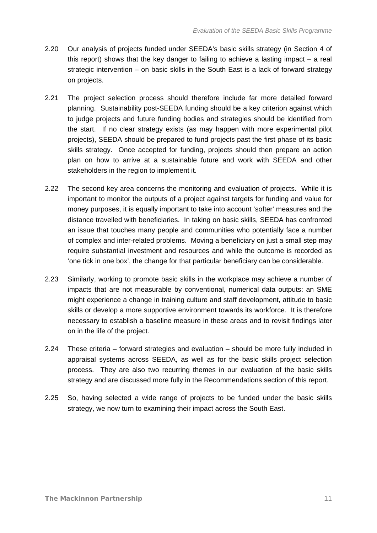- 2.20 Our analysis of projects funded under SEEDA's basic skills strategy (in Section 4 of this report) shows that the key danger to failing to achieve a lasting impact  $-$  a real strategic intervention – on basic skills in the South East is a lack of forward strategy on projects.
- 2.21 The project selection process should therefore include far more detailed forward planning. Sustainability post-SEEDA funding should be a key criterion against which to judge projects and future funding bodies and strategies should be identified from the start. If no clear strategy exists (as may happen with more experimental pilot projects), SEEDA should be prepared to fund projects past the first phase of its basic skills strategy. Once accepted for funding, projects should then prepare an action plan on how to arrive at a sustainable future and work with SEEDA and other stakeholders in the region to implement it.
- 2.22 The second key area concerns the monitoring and evaluation of projects. While it is important to monitor the outputs of a project against targets for funding and value for money purposes, it is equally important to take into account 'softer' measures and the distance travelled with beneficiaries. In taking on basic skills, SEEDA has confronted an issue that touches many people and communities who potentially face a number of complex and inter-related problems. Moving a beneficiary on just a small step may require substantial investment and resources and while the outcome is recorded as 'one tick in one box', the change for that particular beneficiary can be considerable.
- 2.23 Similarly, working to promote basic skills in the workplace may achieve a number of impacts that are not measurable by conventional, numerical data outputs: an SME might experience a change in training culture and staff development, attitude to basic skills or develop a more supportive environment towards its workforce. It is therefore necessary to establish a baseline measure in these areas and to revisit findings later on in the life of the project.
- 2.24 These criteria forward strategies and evaluation should be more fully included in appraisal systems across SEEDA, as well as for the basic skills project selection process. They are also two recurring themes in our evaluation of the basic skills strategy and are discussed more fully in the Recommendations section of this report.
- 2.25 So, having selected a wide range of projects to be funded under the basic skills strategy, we now turn to examining their impact across the South East.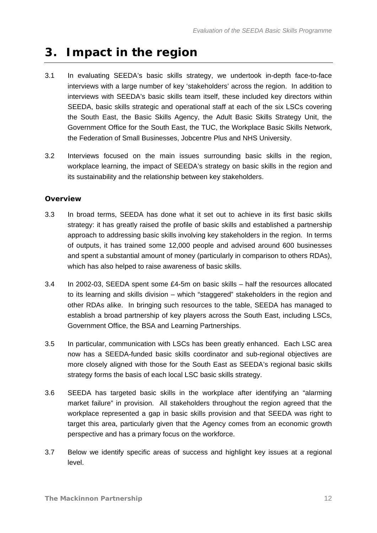## <span id="page-13-1"></span><span id="page-13-0"></span>**3. Impact in the region**

- 3.1 In evaluating SEEDA's basic skills strategy, we undertook in-depth face-to-face interviews with a large number of key 'stakeholders' across the region. In addition to interviews with SEEDA's basic skills team itself, these included key directors within SEEDA, basic skills strategic and operational staff at each of the six LSCs covering the South East, the Basic Skills Agency, the Adult Basic Skills Strategy Unit, the Government Office for the South East, the TUC, the Workplace Basic Skills Network, the Federation of Small Businesses, Jobcentre Plus and NHS University.
- 3.2 Interviews focused on the main issues surrounding basic skills in the region, workplace learning, the impact of SEEDA's strategy on basic skills in the region and its sustainability and the relationship between key stakeholders.

### **Overview**

- 3.3 In broad terms, SEEDA has done what it set out to achieve in its first basic skills strategy: it has greatly raised the profile of basic skills and established a partnership approach to addressing basic skills involving key stakeholders in the region. In terms of outputs, it has trained some 12,000 people and advised around 600 businesses and spent a substantial amount of money (particularly in comparison to others RDAs), which has also helped to raise awareness of basic skills.
- 3.4 In 2002-03, SEEDA spent some £4-5m on basic skills half the resources allocated to its learning and skills division – which "staggered" stakeholders in the region and other RDAs alike. In bringing such resources to the table, SEEDA has managed to establish a broad partnership of key players across the South East, including LSCs, Government Office, the BSA and Learning Partnerships.
- 3.5 In particular, communication with LSCs has been greatly enhanced. Each LSC area now has a SEEDA-funded basic skills coordinator and sub-regional objectives are more closely aligned with those for the South East as SEEDA's regional basic skills strategy forms the basis of each local LSC basic skills strategy.
- 3.6 SEEDA has targeted basic skills in the workplace after identifying an "alarming market failure" in provision. All stakeholders throughout the region agreed that the workplace represented a gap in basic skills provision and that SEEDA was right to target this area, particularly given that the Agency comes from an economic growth perspective and has a primary focus on the workforce.
- 3.7 Below we identify specific areas of success and highlight key issues at a regional level.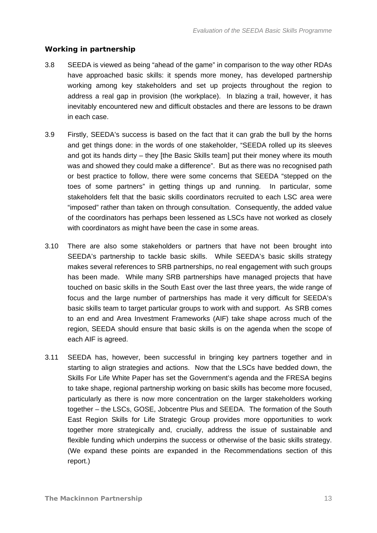#### **Working in partnership**

- 3.8 SEEDA is viewed as being "ahead of the game" in comparison to the way other RDAs have approached basic skills: it spends more money, has developed partnership working among key stakeholders and set up projects throughout the region to address a real gap in provision (the workplace). In blazing a trail, however, it has inevitably encountered new and difficult obstacles and there are lessons to be drawn in each case.
- 3.9 Firstly, SEEDA's success is based on the fact that it can grab the bull by the horns and get things done: in the words of one stakeholder, "SEEDA rolled up its sleeves and got its hands dirty – they [the Basic Skills team] put their money where its mouth was and showed they could make a difference". But as there was no recognised path or best practice to follow, there were some concerns that SEEDA "stepped on the toes of some partners" in getting things up and running. In particular, some stakeholders felt that the basic skills coordinators recruited to each LSC area were "imposed" rather than taken on through consultation. Consequently, the added value of the coordinators has perhaps been lessened as LSCs have not worked as closely with coordinators as might have been the case in some areas.
- 3.10 There are also some stakeholders or partners that have not been brought into SEEDA's partnership to tackle basic skills. While SEEDA's basic skills strategy makes several references to SRB partnerships, no real engagement with such groups has been made. While many SRB partnerships have managed projects that have touched on basic skills in the South East over the last three years, the wide range of focus and the large number of partnerships has made it very difficult for SEEDA's basic skills team to target particular groups to work with and support. As SRB comes to an end and Area Investment Frameworks (AIF) take shape across much of the region, SEEDA should ensure that basic skills is on the agenda when the scope of each AIF is agreed.
- 3.11 SEEDA has, however, been successful in bringing key partners together and in starting to align strategies and actions. Now that the LSCs have bedded down, the Skills For Life White Paper has set the Government's agenda and the FRESA begins to take shape, regional partnership working on basic skills has become more focused, particularly as there is now more concentration on the larger stakeholders working together – the LSCs, GOSE, Jobcentre Plus and SEEDA. The formation of the South East Region Skills for Life Strategic Group provides more opportunities to work together more strategically and, crucially, address the issue of sustainable and flexible funding which underpins the success or otherwise of the basic skills strategy. (We expand these points are expanded in the Recommendations section of this report.)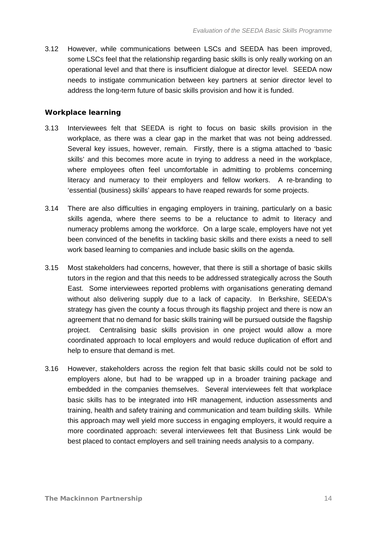3.12 However, while communications between LSCs and SEEDA has been improved, some LSCs feel that the relationship regarding basic skills is only really working on an operational level and that there is insufficient dialogue at director level. SEEDA now needs to instigate communication between key partners at senior director level to address the long-term future of basic skills provision and how it is funded.

#### **Workplace learning**

- 3.13 Interviewees felt that SEEDA is right to focus on basic skills provision in the workplace, as there was a clear gap in the market that was not being addressed. Several key issues, however, remain. Firstly, there is a stigma attached to 'basic skills' and this becomes more acute in trying to address a need in the workplace, where employees often feel uncomfortable in admitting to problems concerning literacy and numeracy to their employers and fellow workers. A re-branding to 'essential (business) skills' appears to have reaped rewards for some projects.
- 3.14 There are also difficulties in engaging employers in training, particularly on a basic skills agenda, where there seems to be a reluctance to admit to literacy and numeracy problems among the workforce. On a large scale, employers have not yet been convinced of the benefits in tackling basic skills and there exists a need to sell work based learning to companies and include basic skills on the agenda.
- 3.15 Most stakeholders had concerns, however, that there is still a shortage of basic skills tutors in the region and that this needs to be addressed strategically across the South East. Some interviewees reported problems with organisations generating demand without also delivering supply due to a lack of capacity. In Berkshire, SEEDA's strategy has given the county a focus through its flagship project and there is now an agreement that no demand for basic skills training will be pursued outside the flagship project. Centralising basic skills provision in one project would allow a more coordinated approach to local employers and would reduce duplication of effort and help to ensure that demand is met.
- 3.16 However, stakeholders across the region felt that basic skills could not be sold to employers alone, but had to be wrapped up in a broader training package and embedded in the companies themselves. Several interviewees felt that workplace basic skills has to be integrated into HR management, induction assessments and training, health and safety training and communication and team building skills. While this approach may well yield more success in engaging employers, it would require a more coordinated approach: several interviewees felt that Business Link would be best placed to contact employers and sell training needs analysis to a company.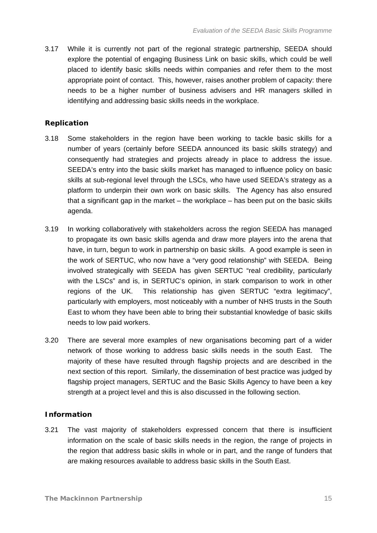3.17 While it is currently not part of the regional strategic partnership, SEEDA should explore the potential of engaging Business Link on basic skills, which could be well placed to identify basic skills needs within companies and refer them to the most appropriate point of contact. This, however, raises another problem of capacity: there needs to be a higher number of business advisers and HR managers skilled in identifying and addressing basic skills needs in the workplace.

#### **Replication**

- 3.18 Some stakeholders in the region have been working to tackle basic skills for a number of years (certainly before SEEDA announced its basic skills strategy) and consequently had strategies and projects already in place to address the issue. SEEDA's entry into the basic skills market has managed to influence policy on basic skills at sub-regional level through the LSCs, who have used SEEDA's strategy as a platform to underpin their own work on basic skills. The Agency has also ensured that a significant gap in the market – the workplace – has been put on the basic skills agenda.
- 3.19 In working collaboratively with stakeholders across the region SEEDA has managed to propagate its own basic skills agenda and draw more players into the arena that have, in turn, begun to work in partnership on basic skills. A good example is seen in the work of SERTUC, who now have a "very good relationship" with SEEDA. Being involved strategically with SEEDA has given SERTUC "real credibility, particularly with the LSCs" and is, in SERTUC's opinion, in stark comparison to work in other regions of the UK. This relationship has given SERTUC "extra legitimacy", particularly with employers, most noticeably with a number of NHS trusts in the South East to whom they have been able to bring their substantial knowledge of basic skills needs to low paid workers.
- 3.20 There are several more examples of new organisations becoming part of a wider network of those working to address basic skills needs in the south East. The majority of these have resulted through flagship projects and are described in the next section of this report. Similarly, the dissemination of best practice was judged by flagship project managers, SERTUC and the Basic Skills Agency to have been a key strength at a project level and this is also discussed in the following section.

#### **Information**

3.21 The vast majority of stakeholders expressed concern that there is insufficient information on the scale of basic skills needs in the region, the range of projects in the region that address basic skills in whole or in part, and the range of funders that are making resources available to address basic skills in the South East.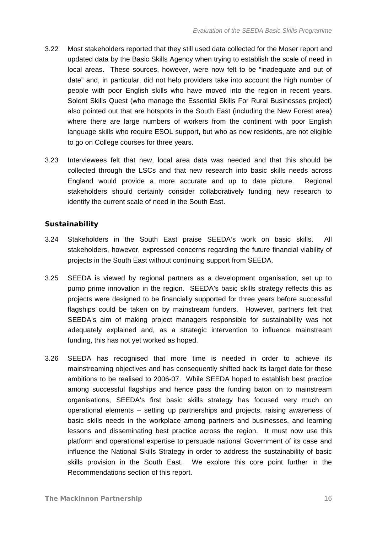- 3.22 Most stakeholders reported that they still used data collected for the Moser report and updated data by the Basic Skills Agency when trying to establish the scale of need in local areas. These sources, however, were now felt to be "inadequate and out of date" and, in particular, did not help providers take into account the high number of people with poor English skills who have moved into the region in recent years. Solent Skills Quest (who manage the Essential Skills For Rural Businesses project) also pointed out that are hotspots in the South East (including the New Forest area) where there are large numbers of workers from the continent with poor English language skills who require ESOL support, but who as new residents, are not eligible to go on College courses for three years.
- 3.23 Interviewees felt that new, local area data was needed and that this should be collected through the LSCs and that new research into basic skills needs across England would provide a more accurate and up to date picture. Regional stakeholders should certainly consider collaboratively funding new research to identify the current scale of need in the South East.

#### **Sustainability**

- 3.24 Stakeholders in the South East praise SEEDA's work on basic skills. All stakeholders, however, expressed concerns regarding the future financial viability of projects in the South East without continuing support from SEEDA.
- 3.25 SEEDA is viewed by regional partners as a development organisation, set up to pump prime innovation in the region. SEEDA's basic skills strategy reflects this as projects were designed to be financially supported for three years before successful flagships could be taken on by mainstream funders. However, partners felt that SEEDA's aim of making project managers responsible for sustainability was not adequately explained and, as a strategic intervention to influence mainstream funding, this has not yet worked as hoped.
- 3.26 SEEDA has recognised that more time is needed in order to achieve its mainstreaming objectives and has consequently shifted back its target date for these ambitions to be realised to 2006-07. While SEEDA hoped to establish best practice among successful flagships and hence pass the funding baton on to mainstream organisations, SEEDA's first basic skills strategy has focused very much on operational elements – setting up partnerships and projects, raising awareness of basic skills needs in the workplace among partners and businesses, and learning lessons and disseminating best practice across the region. It must now use this platform and operational expertise to persuade national Government of its case and influence the National Skills Strategy in order to address the sustainability of basic skills provision in the South East. We explore this core point further in the Recommendations section of this report.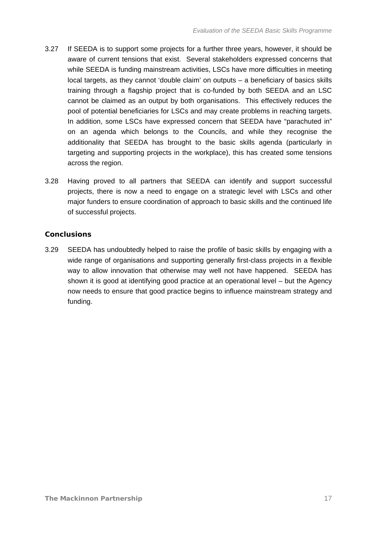- 3.27 If SEEDA is to support some projects for a further three years, however, it should be aware of current tensions that exist. Several stakeholders expressed concerns that while SEEDA is funding mainstream activities, LSCs have more difficulties in meeting local targets, as they cannot 'double claim' on outputs – a beneficiary of basics skills training through a flagship project that is co-funded by both SEEDA and an LSC cannot be claimed as an output by both organisations. This effectively reduces the pool of potential beneficiaries for LSCs and may create problems in reaching targets. In addition, some LSCs have expressed concern that SEEDA have "parachuted in" on an agenda which belongs to the Councils, and while they recognise the additionality that SEEDA has brought to the basic skills agenda (particularly in targeting and supporting projects in the workplace), this has created some tensions across the region.
- 3.28 Having proved to all partners that SEEDA can identify and support successful projects, there is now a need to engage on a strategic level with LSCs and other major funders to ensure coordination of approach to basic skills and the continued life of successful projects.

### **Conclusions**

3.29 SEEDA has undoubtedly helped to raise the profile of basic skills by engaging with a wide range of organisations and supporting generally first-class projects in a flexible way to allow innovation that otherwise may well not have happened. SEEDA has shown it is good at identifying good practice at an operational level – but the Agency now needs to ensure that good practice begins to influence mainstream strategy and funding.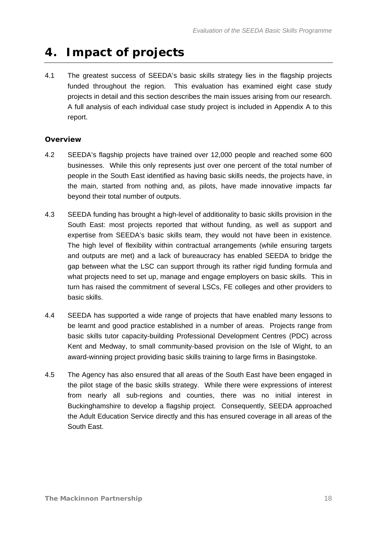## <span id="page-19-1"></span><span id="page-19-0"></span>**4. Impact of projects**

4.1 The greatest success of SEEDA's basic skills strategy lies in the flagship projects funded throughout the region. This evaluation has examined eight case study projects in detail and this section describes the main issues arising from our research. A full analysis of each individual case study project is included in Appendix A to this report.

## **Overview**

- 4.2 SEEDA's flagship projects have trained over 12,000 people and reached some 600 businesses. While this only represents just over one percent of the total number of people in the South East identified as having basic skills needs, the projects have, in the main, started from nothing and, as pilots, have made innovative impacts far beyond their total number of outputs.
- 4.3 SEEDA funding has brought a high-level of additionality to basic skills provision in the South East: most projects reported that without funding, as well as support and expertise from SEEDA's basic skills team, they would not have been in existence. The high level of flexibility within contractual arrangements (while ensuring targets and outputs are met) and a lack of bureaucracy has enabled SEEDA to bridge the gap between what the LSC can support through its rather rigid funding formula and what projects need to set up, manage and engage employers on basic skills. This in turn has raised the commitment of several LSCs, FE colleges and other providers to basic skills.
- 4.4 SEEDA has supported a wide range of projects that have enabled many lessons to be learnt and good practice established in a number of areas. Projects range from basic skills tutor capacity-building Professional Development Centres (PDC) across Kent and Medway, to small community-based provision on the Isle of Wight, to an award-winning project providing basic skills training to large firms in Basingstoke.
- 4.5 The Agency has also ensured that all areas of the South East have been engaged in the pilot stage of the basic skills strategy. While there were expressions of interest from nearly all sub-regions and counties, there was no initial interest in Buckinghamshire to develop a flagship project. Consequently, SEEDA approached the Adult Education Service directly and this has ensured coverage in all areas of the South East.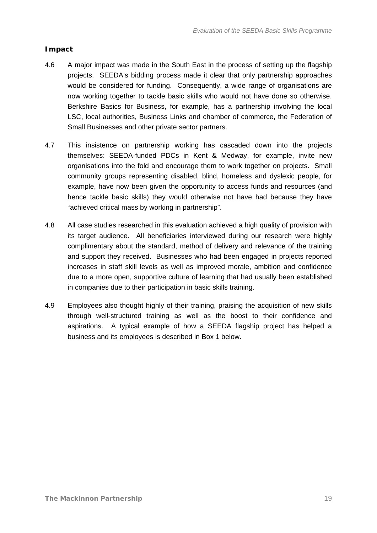### **Impact**

- 4.6 A major impact was made in the South East in the process of setting up the flagship projects. SEEDA's bidding process made it clear that only partnership approaches would be considered for funding. Consequently, a wide range of organisations are now working together to tackle basic skills who would not have done so otherwise. Berkshire Basics for Business, for example, has a partnership involving the local LSC, local authorities, Business Links and chamber of commerce, the Federation of Small Businesses and other private sector partners.
- 4.7 This insistence on partnership working has cascaded down into the projects themselves: SEEDA-funded PDCs in Kent & Medway, for example, invite new organisations into the fold and encourage them to work together on projects. Small community groups representing disabled, blind, homeless and dyslexic people, for example, have now been given the opportunity to access funds and resources (and hence tackle basic skills) they would otherwise not have had because they have "achieved critical mass by working in partnership".
- 4.8 All case studies researched in this evaluation achieved a high quality of provision with its target audience. All beneficiaries interviewed during our research were highly complimentary about the standard, method of delivery and relevance of the training and support they received. Businesses who had been engaged in projects reported increases in staff skill levels as well as improved morale, ambition and confidence due to a more open, supportive culture of learning that had usually been established in companies due to their participation in basic skills training.
- 4.9 Employees also thought highly of their training, praising the acquisition of new skills through well-structured training as well as the boost to their confidence and aspirations. A typical example of how a SEEDA flagship project has helped a business and its employees is described in Box 1 below.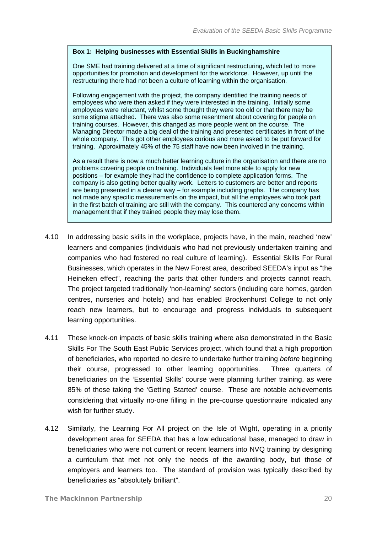#### **Box 1: Helping businesses with Essential Skills in Buckinghamshire**

One SME had training delivered at a time of significant restructuring, which led to more opportunities for promotion and development for the workforce. However, up until the restructuring there had not been a culture of learning within the organisation.

Following engagement with the project, the company identified the training needs of employees who were then asked if they were interested in the training. Initially some employees were reluctant, whilst some thought they were too old or that there may be some stigma attached. There was also some resentment about covering for people on training courses. However, this changed as more people went on the course. The Managing Director made a big deal of the training and presented certificates in front of the whole company. This got other employees curious and more asked to be put forward for training. Approximately 45% of the 75 staff have now been involved in the training.

As a result there is now a much better learning culture in the organisation and there are no problems covering people on training. Individuals feel more able to apply for new positions – for example they had the confidence to complete application forms. The company is also getting better quality work. Letters to customers are better and reports are being presented in a clearer way – for example including graphs. The company has not made any specific measurements on the impact, but all the employees who took part in the first batch of training are still with the company. This countered any concerns within management that if they trained people they may lose them.

- 4.10 In addressing basic skills in the workplace, projects have, in the main, reached 'new' learners and companies (individuals who had not previously undertaken training and companies who had fostered no real culture of learning). Essential Skills For Rural Businesses, which operates in the New Forest area, described SEEDA's input as "the Heineken effect", reaching the parts that other funders and projects cannot reach. The project targeted traditionally 'non-learning' sectors (including care homes, garden centres, nurseries and hotels) and has enabled Brockenhurst College to not only reach new learners, but to encourage and progress individuals to subsequent learning opportunities.
- 4.11 These knock-on impacts of basic skills training where also demonstrated in the Basic Skills For The South East Public Services project, which found that a high proportion of beneficiaries, who reported no desire to undertake further training *before* beginning their course, progressed to other learning opportunities. Three quarters of beneficiaries on the 'Essential Skills' course were planning further training, as were 85% of those taking the 'Getting Started' course. These are notable achievements considering that virtually no-one filling in the pre-course questionnaire indicated any wish for further study.
- 4.12 Similarly, the Learning For All project on the Isle of Wight, operating in a priority development area for SEEDA that has a low educational base, managed to draw in beneficiaries who were not current or recent learners into NVQ training by designing a curriculum that met not only the needs of the awarding body, but those of employers and learners too. The standard of provision was typically described by beneficiaries as "absolutely brilliant".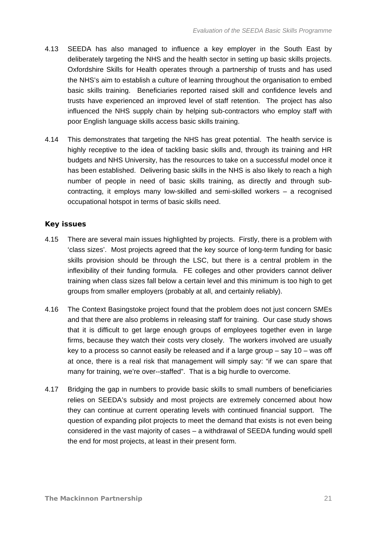- 4.13 SEEDA has also managed to influence a key employer in the South East by deliberately targeting the NHS and the health sector in setting up basic skills projects. Oxfordshire Skills for Health operates through a partnership of trusts and has used the NHS's aim to establish a culture of learning throughout the organisation to embed basic skills training. Beneficiaries reported raised skill and confidence levels and trusts have experienced an improved level of staff retention. The project has also influenced the NHS supply chain by helping sub-contractors who employ staff with poor English language skills access basic skills training.
- 4.14 This demonstrates that targeting the NHS has great potential. The health service is highly receptive to the idea of tackling basic skills and, through its training and HR budgets and NHS University, has the resources to take on a successful model once it has been established. Delivering basic skills in the NHS is also likely to reach a high number of people in need of basic skills training, as directly and through subcontracting, it employs many low-skilled and semi-skilled workers – a recognised occupational hotspot in terms of basic skills need.

#### **Key issues**

- 4.15 There are several main issues highlighted by projects. Firstly, there is a problem with 'class sizes'. Most projects agreed that the key source of long-term funding for basic skills provision should be through the LSC, but there is a central problem in the inflexibility of their funding formula. FE colleges and other providers cannot deliver training when class sizes fall below a certain level and this minimum is too high to get groups from smaller employers (probably at all, and certainly reliably).
- 4.16 The Context Basingstoke project found that the problem does not just concern SMEs and that there are also problems in releasing staff for training. Our case study shows that it is difficult to get large enough groups of employees together even in large firms, because they watch their costs very closely. The workers involved are usually key to a process so cannot easily be released and if a large group – say 10 – was off at once, there is a real risk that management will simply say: "if we can spare that many for training, we're over--staffed". That is a big hurdle to overcome.
- 4.17 Bridging the gap in numbers to provide basic skills to small numbers of beneficiaries relies on SEEDA's subsidy and most projects are extremely concerned about how they can continue at current operating levels with continued financial support. The question of expanding pilot projects to meet the demand that exists is not even being considered in the vast majority of cases – a withdrawal of SEEDA funding would spell the end for most projects, at least in their present form.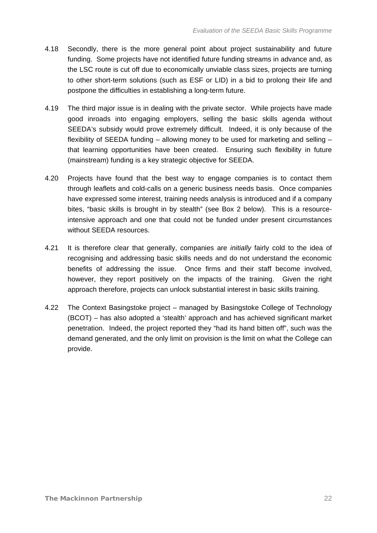- 4.18 Secondly, there is the more general point about project sustainability and future funding. Some projects have not identified future funding streams in advance and, as the LSC route is cut off due to economically unviable class sizes, projects are turning to other short-term solutions (such as ESF or LID) in a bid to prolong their life and postpone the difficulties in establishing a long-term future.
- 4.19 The third major issue is in dealing with the private sector. While projects have made good inroads into engaging employers, selling the basic skills agenda without SEEDA's subsidy would prove extremely difficult. Indeed, it is only because of the flexibility of SEEDA funding – allowing money to be used for marketing and selling – that learning opportunities have been created. Ensuring such flexibility in future (mainstream) funding is a key strategic objective for SEEDA.
- 4.20 Projects have found that the best way to engage companies is to contact them through leaflets and cold-calls on a generic business needs basis. Once companies have expressed some interest, training needs analysis is introduced and if a company bites, "basic skills is brought in by stealth" (see Box 2 below). This is a resourceintensive approach and one that could not be funded under present circumstances without SEEDA resources.
- 4.21 It is therefore clear that generally, companies are *initially* fairly cold to the idea of recognising and addressing basic skills needs and do not understand the economic benefits of addressing the issue. Once firms and their staff become involved, however, they report positively on the impacts of the training. Given the right approach therefore, projects can unlock substantial interest in basic skills training.
- 4.22 The Context Basingstoke project managed by Basingstoke College of Technology (BCOT) – has also adopted a 'stealth' approach and has achieved significant market penetration. Indeed, the project reported they "had its hand bitten off", such was the demand generated, and the only limit on provision is the limit on what the College can provide.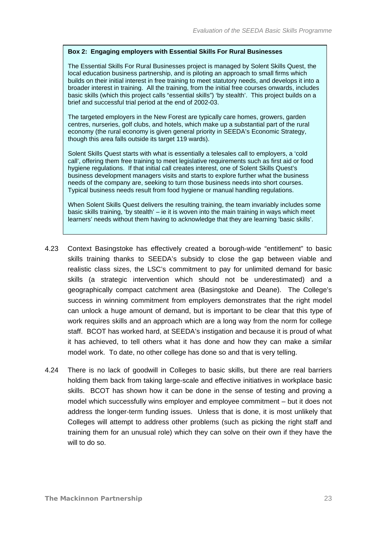#### **Box 2: Engaging employers with Essential Skills For Rural Businesses**

The Essential Skills For Rural Businesses project is managed by Solent Skills Quest, the local education business partnership, and is piloting an approach to small firms which builds on their initial interest in free training to meet statutory needs, and develops it into a broader interest in training. All the training, from the initial free courses onwards, includes basic skills (which this project calls "essential skills") 'by stealth'. This project builds on a brief and successful trial period at the end of 2002-03.

The targeted employers in the New Forest are typically care homes, growers, garden centres, nurseries, golf clubs, and hotels, which make up a substantial part of the rural economy (the rural economy is given general priority in SEEDA's Economic Strategy, though this area falls outside its target 119 wards).

Solent Skills Quest starts with what is essentially a telesales call to employers, a 'cold call', offering them free training to meet legislative requirements such as first aid or food hygiene regulations. If that initial call creates interest, one of Solent Skills Quest's business development managers visits and starts to explore further what the business needs of the company are, seeking to turn those business needs into short courses. Typical business needs result from food hygiene or manual handling regulations.

When Solent Skills Quest delivers the resulting training, the team invariably includes some basic skills training, 'by stealth' – ie it is woven into the main training in ways which meet learners' needs without them having to acknowledge that they are learning 'basic skills'.

- 4.23 Context Basingstoke has effectively created a borough-wide "entitlement" to basic skills training thanks to SEEDA's subsidy to close the gap between viable and realistic class sizes, the LSC's commitment to pay for unlimited demand for basic skills (a strategic intervention which should not be underestimated) and a geographically compact catchment area (Basingstoke and Deane). The College's success in winning commitment from employers demonstrates that the right model can unlock a huge amount of demand, but is important to be clear that this type of work requires skills and an approach which are a long way from the norm for college staff. BCOT has worked hard, at SEEDA's instigation and because it is proud of what it has achieved, to tell others what it has done and how they can make a similar model work. To date, no other college has done so and that is very telling.
- 4.24 There is no lack of goodwill in Colleges to basic skills, but there are real barriers holding them back from taking large-scale and effective initiatives in workplace basic skills. BCOT has shown how it can be done in the sense of testing and proving a model which successfully wins employer and employee commitment – but it does not address the longer-term funding issues. Unless that is done, it is most unlikely that Colleges will attempt to address other problems (such as picking the right staff and training them for an unusual role) which they can solve on their own if they have the will to do so.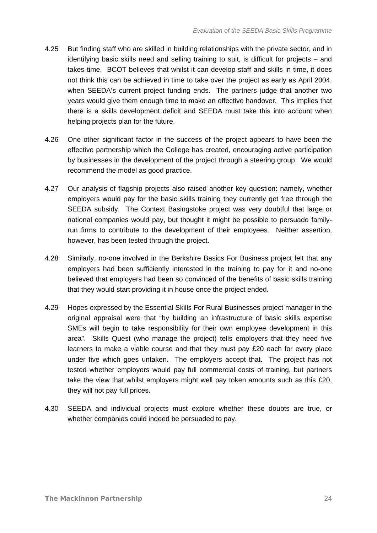- 4.25 But finding staff who are skilled in building relationships with the private sector, and in identifying basic skills need and selling training to suit, is difficult for projects – and takes time. BCOT believes that whilst it can develop staff and skills in time, it does not think this can be achieved in time to take over the project as early as April 2004, when SEEDA's current project funding ends. The partners judge that another two years would give them enough time to make an effective handover. This implies that there is a skills development deficit and SEEDA must take this into account when helping projects plan for the future.
- 4.26 One other significant factor in the success of the project appears to have been the effective partnership which the College has created, encouraging active participation by businesses in the development of the project through a steering group. We would recommend the model as good practice.
- 4.27 Our analysis of flagship projects also raised another key question: namely, whether employers would pay for the basic skills training they currently get free through the SEEDA subsidy. The Context Basingstoke project was very doubtful that large or national companies would pay, but thought it might be possible to persuade familyrun firms to contribute to the development of their employees. Neither assertion, however, has been tested through the project.
- 4.28 Similarly, no-one involved in the Berkshire Basics For Business project felt that any employers had been sufficiently interested in the training to pay for it and no-one believed that employers had been so convinced of the benefits of basic skills training that they would start providing it in house once the project ended.
- 4.29 Hopes expressed by the Essential Skills For Rural Businesses project manager in the original appraisal were that "by building an infrastructure of basic skills expertise SMEs will begin to take responsibility for their own employee development in this area". Skills Quest (who manage the project) tells employers that they need five learners to make a viable course and that they must pay £20 each for every place under five which goes untaken. The employers accept that. The project has not tested whether employers would pay full commercial costs of training, but partners take the view that whilst employers might well pay token amounts such as this £20, they will not pay full prices.
- 4.30 SEEDA and individual projects must explore whether these doubts are true, or whether companies could indeed be persuaded to pay.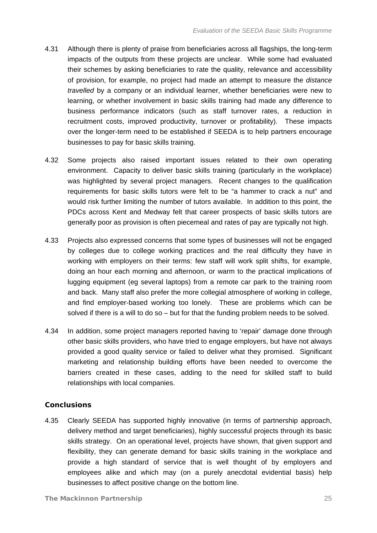- 4.31 Although there is plenty of praise from beneficiaries across all flagships, the long-term impacts of the outputs from these projects are unclear. While some had evaluated their schemes by asking beneficiaries to rate the quality, relevance and accessibility of provision, for example, no project had made an attempt to measure the *distance travelled* by a company or an individual learner, whether beneficiaries were new to learning, or whether involvement in basic skills training had made any difference to business performance indicators (such as staff turnover rates, a reduction in recruitment costs, improved productivity, turnover or profitability). These impacts over the longer-term need to be established if SEEDA is to help partners encourage businesses to pay for basic skills training.
- 4.32 Some projects also raised important issues related to their own operating environment. Capacity to deliver basic skills training (particularly in the workplace) was highlighted by several project managers. Recent changes to the qualification requirements for basic skills tutors were felt to be "a hammer to crack a nut" and would risk further limiting the number of tutors available. In addition to this point, the PDCs across Kent and Medway felt that career prospects of basic skills tutors are generally poor as provision is often piecemeal and rates of pay are typically not high.
- 4.33 Projects also expressed concerns that some types of businesses will not be engaged by colleges due to college working practices and the real difficulty they have in working with employers on their terms: few staff will work split shifts, for example, doing an hour each morning and afternoon, or warm to the practical implications of lugging equipment (eg several laptops) from a remote car park to the training room and back. Many staff also prefer the more collegial atmosphere of working in college, and find employer-based working too lonely. These are problems which can be solved if there is a will to do so – but for that the funding problem needs to be solved.
- 4.34 In addition, some project managers reported having to 'repair' damage done through other basic skills providers, who have tried to engage employers, but have not always provided a good quality service or failed to deliver what they promised. Significant marketing and relationship building efforts have been needed to overcome the barriers created in these cases, adding to the need for skilled staff to build relationships with local companies.

### **Conclusions**

4.35 Clearly SEEDA has supported highly innovative (in terms of partnership approach, delivery method and target beneficiaries), highly successful projects through its basic skills strategy. On an operational level, projects have shown, that given support and flexibility, they can generate demand for basic skills training in the workplace and provide a high standard of service that is well thought of by employers and employees alike and which may (on a purely anecdotal evidential basis) help businesses to affect positive change on the bottom line.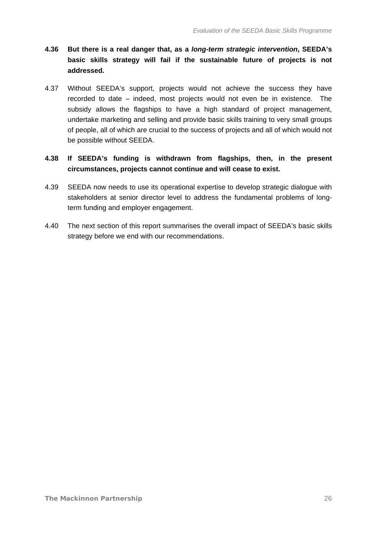- **4.36 But there is a real danger that, as a** *long-term strategic intervention***, SEEDA's basic skills strategy will fail if the sustainable future of projects is not addressed.**
- 4.37 Without SEEDA's support, projects would not achieve the success they have recorded to date – indeed, most projects would not even be in existence. The subsidy allows the flagships to have a high standard of project management, undertake marketing and selling and provide basic skills training to very small groups of people, all of which are crucial to the success of projects and all of which would not be possible without SEEDA.
- **4.38 If SEEDA's funding is withdrawn from flagships, then, in the present circumstances, projects cannot continue and will cease to exist.**
- 4.39 SEEDA now needs to use its operational expertise to develop strategic dialogue with stakeholders at senior director level to address the fundamental problems of longterm funding and employer engagement.
- 4.40 The next section of this report summarises the overall impact of SEEDA's basic skills strategy before we end with our recommendations.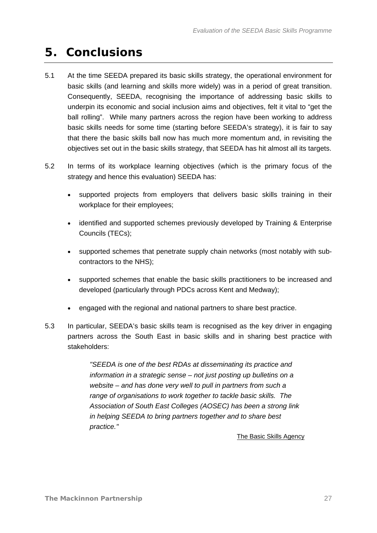## <span id="page-28-1"></span><span id="page-28-0"></span>**5. Conclusions**

- 5.1 At the time SEEDA prepared its basic skills strategy, the operational environment for basic skills (and learning and skills more widely) was in a period of great transition. Consequently, SEEDA, recognising the importance of addressing basic skills to underpin its economic and social inclusion aims and objectives, felt it vital to "get the ball rolling". While many partners across the region have been working to address basic skills needs for some time (starting before SEEDA's strategy), it is fair to say that there the basic skills ball now has much more momentum and, in revisiting the objectives set out in the basic skills strategy, that SEEDA has hit almost all its targets.
- 5.2 In terms of its workplace learning objectives (which is the primary focus of the strategy and hence this evaluation) SEEDA has:
	- supported projects from employers that delivers basic skills training in their workplace for their employees;
	- identified and supported schemes previously developed by Training & Enterprise Councils (TECs);
	- supported schemes that penetrate supply chain networks (most notably with subcontractors to the NHS);
	- supported schemes that enable the basic skills practitioners to be increased and developed (particularly through PDCs across Kent and Medway);
	- engaged with the regional and national partners to share best practice.
- 5.3 In particular, SEEDA's basic skills team is recognised as the key driver in engaging partners across the South East in basic skills and in sharing best practice with stakeholders:

*"SEEDA is one of the best RDAs at disseminating its practice and information in a strategic sense – not just posting up bulletins on a website – and has done very well to pull in partners from such a range of organisations to work together to tackle basic skills. The Association of South East Colleges (AOSEC) has been a strong link in helping SEEDA to bring partners together and to share best practice."* 

#### **The Basic Skills Agency**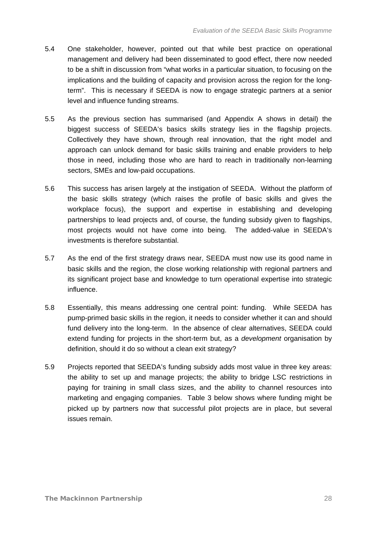- 5.4 One stakeholder, however, pointed out that while best practice on operational management and delivery had been disseminated to good effect, there now needed to be a shift in discussion from "what works in a particular situation, to focusing on the implications and the building of capacity and provision across the region for the longterm". This is necessary if SEEDA is now to engage strategic partners at a senior level and influence funding streams.
- 5.5 As the previous section has summarised (and Appendix A shows in detail) the biggest success of SEEDA's basics skills strategy lies in the flagship projects. Collectively they have shown, through real innovation, that the right model and approach can unlock demand for basic skills training and enable providers to help those in need, including those who are hard to reach in traditionally non-learning sectors, SMEs and low-paid occupations.
- 5.6 This success has arisen largely at the instigation of SEEDA. Without the platform of the basic skills strategy (which raises the profile of basic skills and gives the workplace focus), the support and expertise in establishing and developing partnerships to lead projects and, of course, the funding subsidy given to flagships, most projects would not have come into being. The added-value in SEEDA's investments is therefore substantial.
- 5.7 As the end of the first strategy draws near, SEEDA must now use its good name in basic skills and the region, the close working relationship with regional partners and its significant project base and knowledge to turn operational expertise into strategic influence.
- 5.8 Essentially, this means addressing one central point: funding. While SEEDA has pump-primed basic skills in the region, it needs to consider whether it can and should fund delivery into the long-term. In the absence of clear alternatives, SEEDA could extend funding for projects in the short-term but, as a *development* organisation by definition, should it do so without a clean exit strategy?
- 5.9 Projects reported that SEEDA's funding subsidy adds most value in three key areas: the ability to set up and manage projects; the ability to bridge LSC restrictions in paying for training in small class sizes, and the ability to channel resources into marketing and engaging companies. [Table 3](#page-30-0) below shows where funding might be picked up by partners now that successful pilot projects are in place, but several issues remain.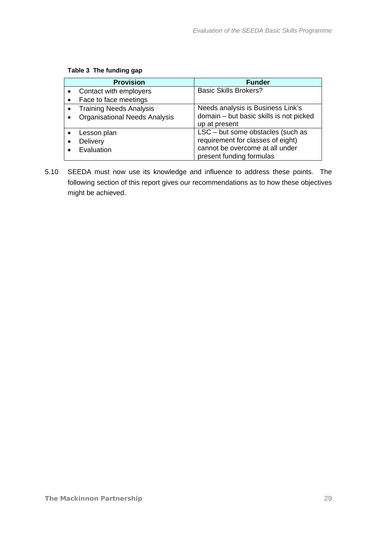<span id="page-30-0"></span>

|           | <b>Provision</b>                     | <b>Funder</b>                           |
|-----------|--------------------------------------|-----------------------------------------|
|           | Contact with employers               | <b>Basic Skills Brokers?</b>            |
|           | Face to face meetings                |                                         |
| $\bullet$ | <b>Training Needs Analysis</b>       | Needs analysis is Business Link's       |
|           | <b>Organisational Needs Analysis</b> | domain - but basic skills is not picked |
|           |                                      | up at present                           |
|           | Lesson plan                          | LSC - but some obstacles (such as       |
|           | Delivery                             | requirement for classes of eight)       |
|           | Evaluation                           | cannot be overcome at all under         |
|           |                                      | present funding formulas                |

### **Table 3 The funding gap**

5.10 SEEDA must now use its knowledge and influence to address these points. The following section of this report gives our recommendations as to how these objectives might be achieved.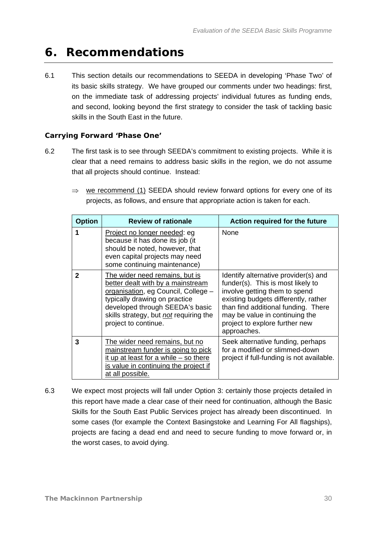## <span id="page-31-1"></span><span id="page-31-0"></span>**6. Recommendations**

6.1 This section details our recommendations to SEEDA in developing 'Phase Two' of its basic skills strategy. We have grouped our comments under two headings: first, on the immediate task of addressing projects' individual futures as funding ends, and second, looking beyond the first strategy to consider the task of tackling basic skills in the South East in the future.

### **Carrying Forward 'Phase One'**

- 6.2 The first task is to see through SEEDA's commitment to existing projects. While it is clear that a need remains to address basic skills in the region, we do not assume that all projects should continue. Instead:
	- $\Rightarrow$  we recommend (1) SEEDA should review forward options for every one of its projects, as follows, and ensure that appropriate action is taken for each.

| <b>Option</b> | <b>Review of rationale</b>                                                                                                                                                                                                                       | Action required for the future                                                                                                                                                                                                                                               |
|---------------|--------------------------------------------------------------------------------------------------------------------------------------------------------------------------------------------------------------------------------------------------|------------------------------------------------------------------------------------------------------------------------------------------------------------------------------------------------------------------------------------------------------------------------------|
|               | Project no longer needed: eg<br>because it has done its job (it<br>should be noted, however, that<br>even capital projects may need<br>some continuing maintenance)                                                                              | None                                                                                                                                                                                                                                                                         |
| 2             | The wider need remains, but is<br>better dealt with by a mainstream<br>organisation, eg Council, College -<br>typically drawing on practice<br>developed through SEEDA's basic<br>skills strategy, but not requiring the<br>project to continue. | Identify alternative provider(s) and<br>funder(s). This is most likely to<br>involve getting them to spend<br>existing budgets differently, rather<br>than find additional funding. There<br>may be value in continuing the<br>project to explore further new<br>approaches. |
| 3             | The wider need remains, but no<br>mainstream funder is going to pick<br>it up at least for a while $-$ so there<br>is value in continuing the project if<br>at all possible.                                                                     | Seek alternative funding, perhaps<br>for a modified or slimmed-down<br>project if full-funding is not available.                                                                                                                                                             |

6.3 We expect most projects will fall under Option 3: certainly those projects detailed in this report have made a clear case of their need for continuation, although the Basic Skills for the South East Public Services project has already been discontinued. In some cases (for example the Context Basingstoke and Learning For All flagships), projects are facing a dead end and need to secure funding to move forward or, in the worst cases, to avoid dying.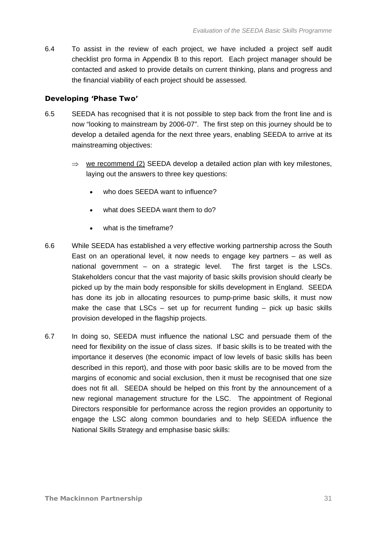6.4 To assist in the review of each project, we have included a project self audit checklist pro forma in Appendix B to this report. Each project manager should be contacted and asked to provide details on current thinking, plans and progress and the financial viability of each project should be assessed.

### **Developing 'Phase Two'**

- 6.5 SEEDA has recognised that it is not possible to step back from the front line and is now "looking to mainstream by 2006-07". The first step on this journey should be to develop a detailed agenda for the next three years, enabling SEEDA to arrive at its mainstreaming objectives:
	- $\Rightarrow$  we recommend (2) SEEDA develop a detailed action plan with key milestones, laying out the answers to three key questions:
		- who does SEEDA want to influence?
		- what does SEEDA want them to do?
		- what is the timeframe?
- 6.6 While SEEDA has established a very effective working partnership across the South East on an operational level, it now needs to engage key partners – as well as national government – on a strategic level. The first target is the LSCs. Stakeholders concur that the vast majority of basic skills provision should clearly be picked up by the main body responsible for skills development in England. SEEDA has done its job in allocating resources to pump-prime basic skills, it must now make the case that  $LSCs - set up$  for recurrent funding  $-$  pick up basic skills provision developed in the flagship projects.
- 6.7 In doing so, SEEDA must influence the national LSC and persuade them of the need for flexibility on the issue of class sizes. If basic skills is to be treated with the importance it deserves (the economic impact of low levels of basic skills has been described in this report), and those with poor basic skills are to be moved from the margins of economic and social exclusion, then it must be recognised that one size does not fit all. SEEDA should be helped on this front by the announcement of a new regional management structure for the LSC. The appointment of Regional Directors responsible for performance across the region provides an opportunity to engage the LSC along common boundaries and to help SEEDA influence the National Skills Strategy and emphasise basic skills: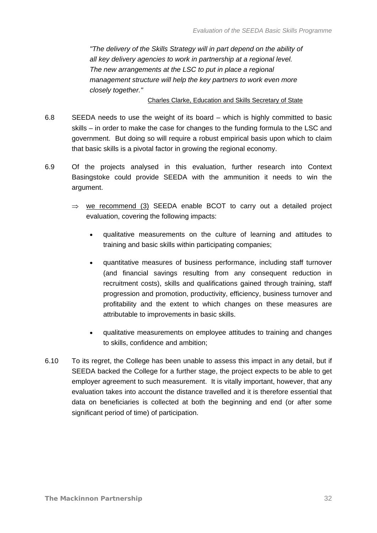*"The delivery of the Skills Strategy will in part depend on the ability of all key delivery agencies to work in partnership at a regional level. The new arrangements at the LSC to put in place a regional management structure will help the key partners to work even more closely together."* 

#### **Charles Clarke, Education and Skills Secretary of State**

- 6.8 SEEDA needs to use the weight of its board which is highly committed to basic skills – in order to make the case for changes to the funding formula to the LSC and government. But doing so will require a robust empirical basis upon which to claim that basic skills is a pivotal factor in growing the regional economy.
- 6.9 Of the projects analysed in this evaluation, further research into Context Basingstoke could provide SEEDA with the ammunition it needs to win the argument.
	- $\Rightarrow$  we recommend (3) SEEDA enable BCOT to carry out a detailed project evaluation, covering the following impacts:
		- qualitative measurements on the culture of learning and attitudes to training and basic skills within participating companies;
		- quantitative measures of business performance, including staff turnover (and financial savings resulting from any consequent reduction in recruitment costs), skills and qualifications gained through training, staff progression and promotion, productivity, efficiency, business turnover and profitability and the extent to which changes on these measures are attributable to improvements in basic skills.
		- qualitative measurements on employee attitudes to training and changes to skills, confidence and ambition;
- 6.10 To its regret, the College has been unable to assess this impact in any detail, but if SEEDA backed the College for a further stage, the project expects to be able to get employer agreement to such measurement. It is vitally important, however, that any evaluation takes into account the distance travelled and it is therefore essential that data on beneficiaries is collected at both the beginning and end (or after some significant period of time) of participation.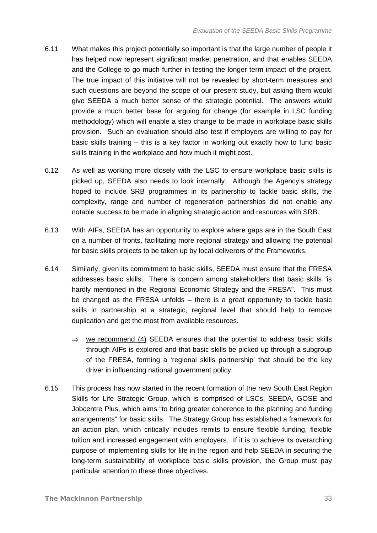- 6.11 What makes this project potentially so important is that the large number of people it has helped now represent significant market penetration, and that enables SEEDA and the College to go much further in testing the longer term impact of the project. The true impact of this initiative will not be revealed by short-term measures and such questions are beyond the scope of our present study, but asking them would give SEEDA a much better sense of the strategic potential. The answers would provide a much better base for arguing for change (for example in LSC funding methodology) which will enable a step change to be made in workplace basic skills provision. Such an evaluation should also test if employers are willing to pay for basic skills training – this is a key factor in working out exactly how to fund basic skills training in the workplace and how much it might cost.
- 6.12 As well as working more closely with the LSC to ensure workplace basic skills is picked up, SEEDA also needs to look internally. Although the Agency's strategy hoped to include SRB programmes in its partnership to tackle basic skills, the complexity, range and number of regeneration partnerships did not enable any notable success to be made in aligning strategic action and resources with SRB.
- 6.13 With AIFs, SEEDA has an opportunity to explore where gaps are in the South East on a number of fronts, facilitating more regional strategy and allowing the potential for basic skills projects to be taken up by local deliverers of the Frameworks.
- 6.14 Similarly, given its commitment to basic skills, SEEDA must ensure that the FRESA addresses basic skills. There is concern among stakeholders that basic skills "is hardly mentioned in the Regional Economic Strategy and the FRESA". This must be changed as the FRESA unfolds – there is a great opportunity to tackle basic skills in partnership at a strategic, regional level that should help to remove duplication and get the most from available resources.
	- $\Rightarrow$  we recommend (4) SEEDA ensures that the potential to address basic skills through AIFs is explored and that basic skills be picked up through a subgroup of the FRESA, forming a 'regional skills partnership' that should be the key driver in influencing national government policy.
- 6.15 This process has now started in the recent formation of the new South East Region Skills for Life Strategic Group, which is comprised of LSCs, SEEDA, GOSE and Jobcentre Plus, which aims "to bring greater coherence to the planning and funding arrangements" for basic skills. The Strategy Group has established a framework for an action plan, which critically includes remits to ensure flexible funding, flexible tuition and increased engagement with employers. If it is to achieve its overarching purpose of implementing skills for life in the region and help SEEDA in securing the long-term sustainability of workplace basic skills provision, the Group must pay particular attention to these three objectives.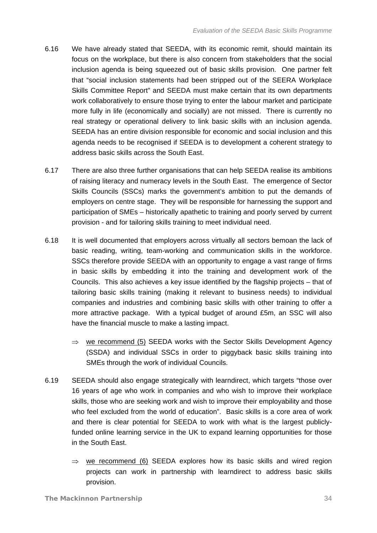- 6.16 We have already stated that SEEDA, with its economic remit, should maintain its focus on the workplace, but there is also concern from stakeholders that the social inclusion agenda is being squeezed out of basic skills provision. One partner felt that "social inclusion statements had been stripped out of the SEERA Workplace Skills Committee Report" and SEEDA must make certain that its own departments work collaboratively to ensure those trying to enter the labour market and participate more fully in life (economically and socially) are not missed. There is currently no real strategy or operational delivery to link basic skills with an inclusion agenda. SEEDA has an entire division responsible for economic and social inclusion and this agenda needs to be recognised if SEEDA is to development a coherent strategy to address basic skills across the South East.
- 6.17 There are also three further organisations that can help SEEDA realise its ambitions of raising literacy and numeracy levels in the South East. The emergence of Sector Skills Councils (SSCs) marks the government's ambition to put the demands of employers on centre stage. They will be responsible for harnessing the support and participation of SMEs – historically apathetic to training and poorly served by current provision - and for tailoring skills training to meet individual need.
- 6.18 It is well documented that employers across virtually all sectors bemoan the lack of basic reading, writing, team-working and communication skills in the workforce. SSCs therefore provide SEEDA with an opportunity to engage a vast range of firms in basic skills by embedding it into the training and development work of the Councils. This also achieves a key issue identified by the flagship projects – that of tailoring basic skills training (making it relevant to business needs) to individual companies and industries and combining basic skills with other training to offer a more attractive package. With a typical budget of around £5m, an SSC will also have the financial muscle to make a lasting impact.
	- $\Rightarrow$  we recommend (5) SEEDA works with the Sector Skills Development Agency (SSDA) and individual SSCs in order to piggyback basic skills training into SMEs through the work of individual Councils.
- 6.19 SEEDA should also engage strategically with learndirect, which targets "those over 16 years of age who work in companies and who wish to improve their workplace skills, those who are seeking work and wish to improve their employability and those who feel excluded from the world of education". Basic skills is a core area of work and there is clear potential for SEEDA to work with what is the largest publiclyfunded online learning service in the UK to expand learning opportunities for those in the South East.
	- $\Rightarrow$  we recommend (6) SEEDA explores how its basic skills and wired region projects can work in partnership with learndirect to address basic skills provision.